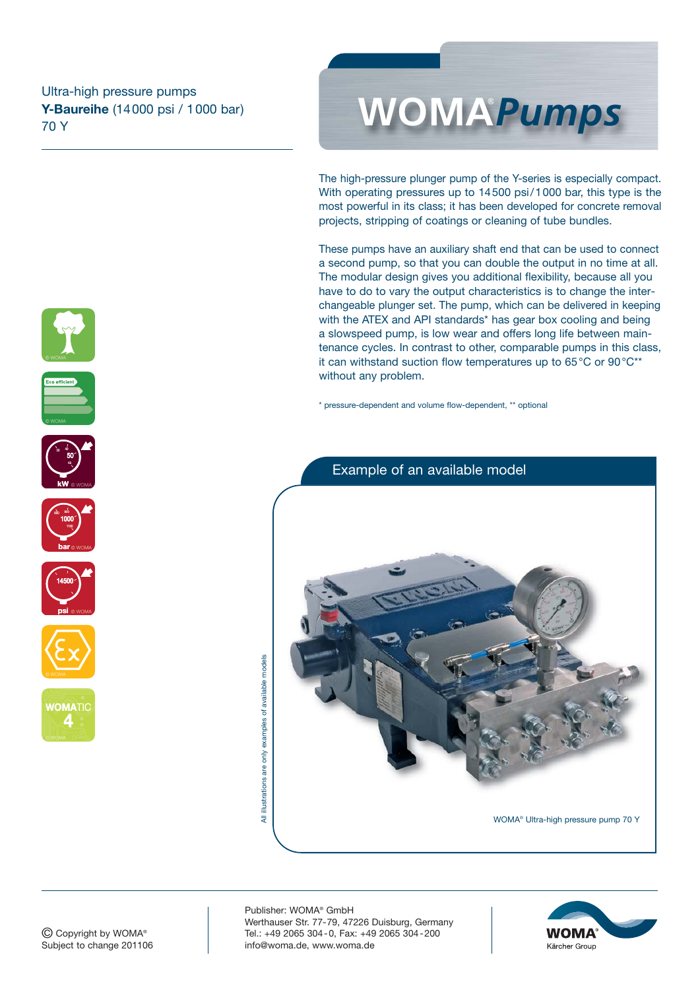# **Y-Baureihe** (14000 psi / 1000 bar) 70 Y



The high-pressure plunger pump of the Y-series is especially compact. With operating pressures up to 14500 psi/1000 bar, this type is the most powerful in its class; it has been developed for concrete removal projects, stripping of coatings or cleaning of tube bundles.

These pumps have an auxiliary shaft end that can be used to connect a second pump, so that you can double the output in no time at all. The modular design gives you additional flexibility, because all you have to do to vary the output characteristics is to change the interchangeable plunger set. The pump, which can be delivered in keeping with the ATEX and API standards\* has gear box cooling and being a slowspeed pump, is low wear and offers long life between maintenance cycles. In contrast to other, comparable pumps in this class, it can withstand suction flow temperatures up to 65°C or 90°C\*\* without any problem.

\* pressure-dependent and volume flow-dependent, \*\* optional







#### © Copyright by WOMA® Subject to change 201106

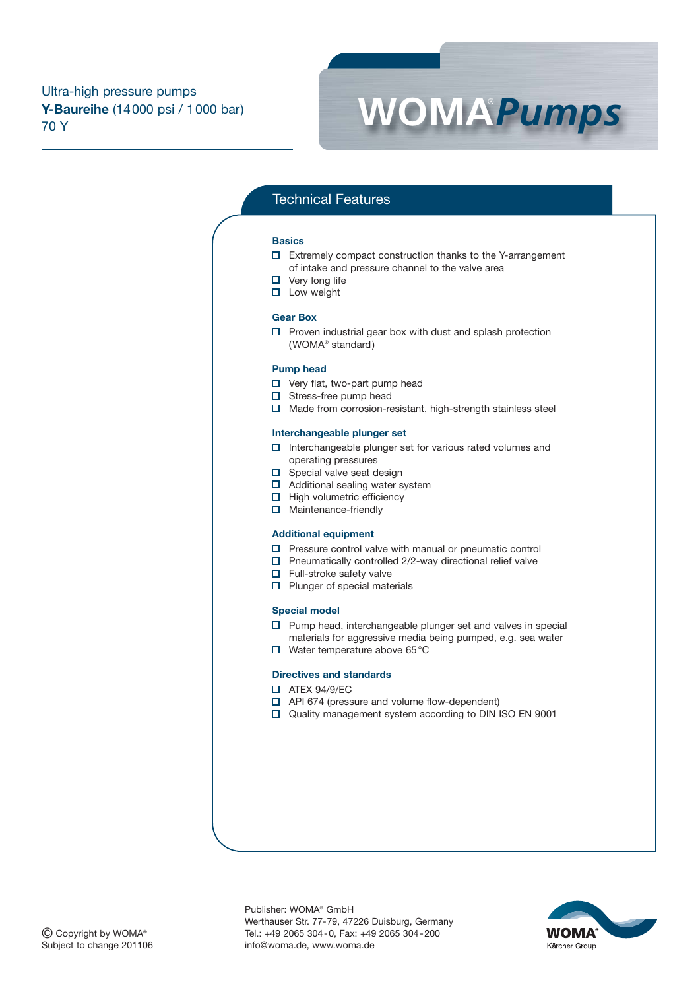

# Technical Features

#### **Basics**

- Extremely compact construction thanks to the Y-arrangement of intake and pressure channel to the valve area
- $\Box$  Very long life
- $\square$  Low weight

#### **Gear Box**

 $\square$  Proven industrial gear box with dust and splash protection (WOMA® standard)

#### **Pump head**

- □ Very flat, two-part pump head
- $\square$  Stress-free pump head
- $\Box$  Made from corrosion-resistant, high-strength stainless steel

#### **Interchangeable plunger set**

- $\square$  Interchangeable plunger set for various rated volumes and operating pressures
- $\square$  Special valve seat design
- $\Box$  Additional sealing water system
- $\Box$  High volumetric efficiency
- □ Maintenance-friendly

## **Additional equipment**

- $\square$  Pressure control valve with manual or pneumatic control
- $\square$  Pneumatically controlled 2/2-way directional relief valve
- $\Box$  Full-stroke safety valve
- $\square$  Plunger of special materials

### **Special model**

- $\square$  Pump head, interchangeable plunger set and valves in special materials for aggressive media being pumped, e.g. sea water
- Water temperature above 65°C

#### **Directives and standards**

- **D** ATEX 94/9/EC
- API 674 (pressure and volume flow-dependent)
- Quality management system according to DIN ISO EN 9001

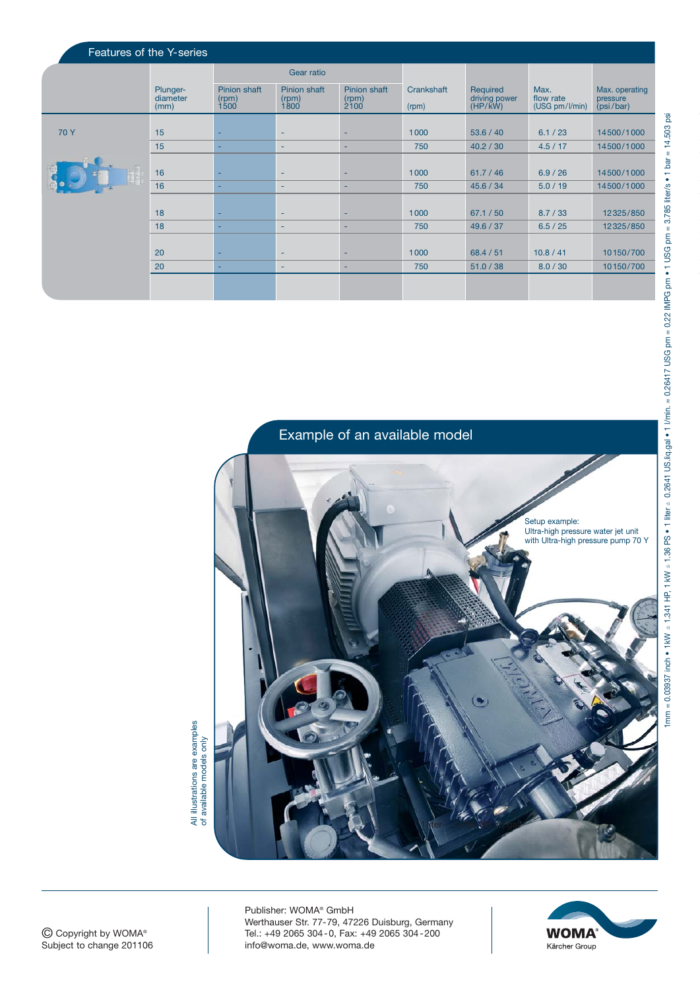| Features of the Y-series |                              |                               |                               |                               |                     |                                      |                                     |                                         |
|--------------------------|------------------------------|-------------------------------|-------------------------------|-------------------------------|---------------------|--------------------------------------|-------------------------------------|-----------------------------------------|
|                          |                              | Gear ratio                    |                               |                               |                     |                                      |                                     |                                         |
|                          | Plunger-<br>diameter<br>(mm) | Pinion shaft<br>(rpm)<br>1500 | Pinion shaft<br>(rpm)<br>1800 | Pinion shaft<br>(rpm)<br>2100 | Crankshaft<br>(rpm) | Required<br>driving power<br>(HP/kW) | Max.<br>flow rate<br>(USG pm/l/min) | Max. operating<br>pressure<br>(psi/bar) |
| 70 Y                     | 15                           |                               | <b>-</b>                      |                               | 1000                | 53.6 / 40                            | 6.1 / 23                            | 14500/1000                              |
|                          | 15                           |                               | <b>-</b>                      | ٠                             | 750                 | 40.2 / 30                            | 4.5/17                              | 14500/1000                              |
|                          | 16                           |                               | $\sim$                        |                               | 1000                | 61.7 / 46                            | 6.9 / 26                            | 14500/1000                              |
|                          | 16                           |                               | $\sim$                        | ٠                             | 750                 | 45.6 / 34                            | 5.0 / 19                            | 14500/1000                              |
|                          | 18                           |                               | $\sim$                        | ٠                             | 1000                | 67.1 / 50                            | 8.7 / 33                            | 12325/850                               |
|                          | 18                           |                               | <b>-</b>                      | ٠                             | 750                 | 49.6 / 37                            | 6.5 / 25                            | 12325/850                               |
|                          | 20                           |                               | $\sim$                        | ۰                             | 1000                | 68.4 / 51                            | 10.8 / 41                           | 10150/700                               |
|                          | 20                           |                               | $\sim$                        | ٠                             | 750                 | 51.0 / 38                            | 8.0 / 30                            | 10150/700                               |
|                          |                              |                               |                               |                               |                     |                                      |                                     |                                         |



All illustrations are examples<br>of available models only All illustrations are examples of available models only